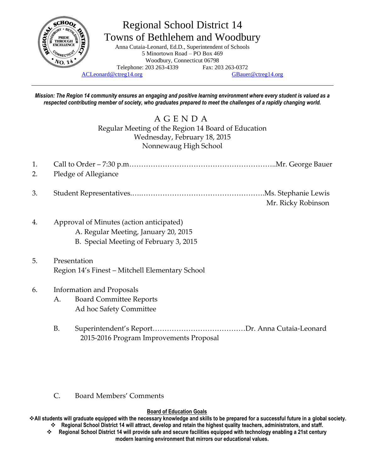

# Regional School District 14 Towns of Bethlehem and Woodbury

Anna Cutaia-Leonard, Ed.D., Superintendent of Schools 5 Minortown Road – PO Box 469 Woodbury, Connecticut 06798 Telephone: 203 263-4339 Fax: 203 263-0372

[ACLeonard@ctreg14.org](mailto:ACLeonard@ctreg14.org) [GBauer@ctreg14.org](mailto:GBauer@ctreg14.org)

*Mission: The Region 14 community ensures an engaging and positive learning environment where every student is valued as a respected contributing member of society, who graduates prepared to meet the challenges of a rapidly changing world.*

# A G E N D A Regular Meeting of the Region 14 Board of Education Wednesday, February 18, 2015 Nonnewaug High School

- 1. Call to Order 7:30 p.m……………………………………………………..Mr. George Bauer 2. Pledge of Allegiance
- 3. Student Representatives.….…………………………………………….Ms. Stephanie Lewis Mr. Ricky Robinson
- 4. Approval of Minutes (action anticipated)
	- A. Regular Meeting, January 20, 2015
	- B. Special Meeting of February 3, 2015
- 5. Presentation Region 14's Finest – Mitchell Elementary School

# 6. Information and Proposals

- A. Board Committee Reports Ad hoc Safety Committee
- B. Superintendent's Report…………………………………Dr. Anna Cutaia-Leonard 2015-2016 Program Improvements Proposal

### C. Board Members' Comments

#### **Board of Education Goals**

**All students will graduate equipped with the necessary knowledge and skills to be prepared for a successful future in a global society. Regional School District 14 will attract, develop and retain the highest quality teachers, administrators, and staff.**

 **Regional School District 14 will provide safe and secure facilities equipped with technology enabling a 21st century modern learning environment that mirrors our educational values.**